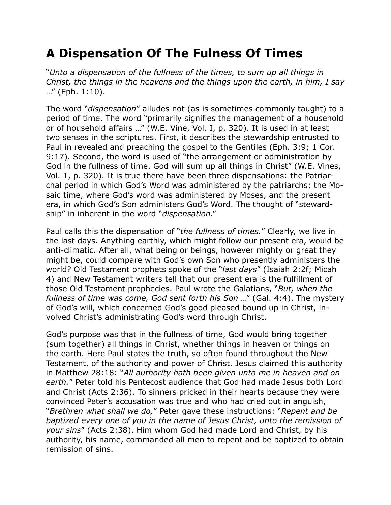## **A Dispensation Of The Fulness Of Times**

"*Unto a dispensation of the fullness of the times, to sum up all things in Christ, the things in the heavens and the things upon the earth, in him, I say* …" (Eph. 1:10).

The word "*dispensation*" alludes not (as is sometimes commonly taught) to a period of time. The word "primarily signifies the management of a household or of household affairs …" (W.E. Vine, Vol. I, p. 320). It is used in at least two senses in the scriptures. First, it describes the stewardship entrusted to Paul in revealed and preaching the gospel to the Gentiles (Eph. 3:9; 1 Cor. 9:17). Second, the word is used of "the arrangement or administration by God in the fullness of time. God will sum up all things in Christ" (W.E. Vines, Vol. 1, p. 320). It is true there have been three dispensations: the Patriarchal period in which God's Word was administered by the patriarchs; the Mosaic time, where God's word was administered by Moses, and the present era, in which God's Son administers God's Word. The thought of "stewardship" in inherent in the word "*dispensation*."

Paul calls this the dispensation of "*the fullness of times.*" Clearly, we live in the last days. Anything earthly, which might follow our present era, would be anti-climatic. After all, what being or beings, however mighty or great they might be, could compare with God's own Son who presently administers the world? Old Testament prophets spoke of the "*last days*" (Isaiah 2:2f; Micah 4) and New Testament writers tell that our present era is the fulfillment of those Old Testament prophecies. Paul wrote the Galatians, "*But, when the fullness of time was come, God sent forth his Son* …" (Gal. 4:4). The mystery of God's will, which concerned God's good pleased bound up in Christ, involved Christ's administrating God's word through Christ.

God's purpose was that in the fullness of time, God would bring together (sum together) all things in Christ, whether things in heaven or things on the earth. Here Paul states the truth, so often found throughout the New Testament, of the authority and power of Christ. Jesus claimed this authority in Matthew 28:18: "*All authority hath been given unto me in heaven and on earth.*" Peter told his Pentecost audience that God had made Jesus both Lord and Christ (Acts 2:36). To sinners pricked in their hearts because they were convinced Peter's accusation was true and who had cried out in anguish, "*Brethren what shall we do,*" Peter gave these instructions: "*Repent and be baptized every one of you in the name of Jesus Christ, unto the remission of your sins*" (Acts 2:38). Him whom God had made Lord and Christ, by his authority, his name, commanded all men to repent and be baptized to obtain remission of sins.